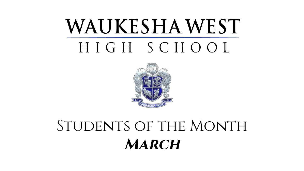#### **WAUKESHAWEST** HIGH SCHOOL



#### STUDENTS OF THE MONTH **March**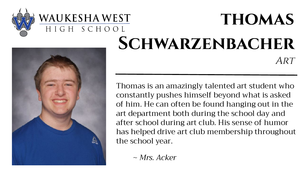

#### WAUKESHA WEST **thomas**  HIGH SCHOOL **Schwarzenbacher**  $ART$

Thomas is an amazingly talented art student who constantly pushes himself beyond what is asked of him. He can often be found hanging out in the art department both during the school day and after school during art club. His sense of humor has helped drive art club membership throughout the school year.

~ *Mrs. Acker*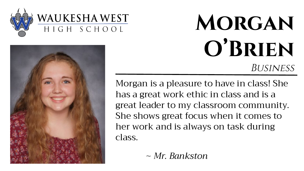



#### **MORGAN O'Brien BUSINESS**

Morgan is a pleasure to have in class! She has a great work ethic in class and is a great leader to my classroom community. She shows great focus when it comes to her work and is always on task during class.

~ *Mr. Bankston*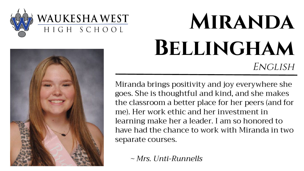

## **MIRANDA Bellingham** ENGLISH

Miranda brings positivity and joy everywhere she goes. She is thoughtful and kind, and she makes the classroom a better place for her peers (and for me). Her work ethic and her investment in learning make her a leader. I am so honored to have had the chance to work with Miranda in two separate courses.

*~ Mrs. Unti-Runnells*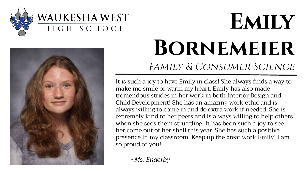



#### **Emily Bornemeier** FAMILY & CONSUMER SCIENCE

It is such a joy to have Emily in class! She always finds a way to make me smile or warm my heart. Emily has also made tremendous strides in her work in both Interior Design and Child Development! She has an amazing work ethic and is always willing to come in and do extra work if needed. She is extremely kind to her peers and is always willing to help others when she sees them struggling. It has been such a joy to see her come out of her shell this year. She has such a positive presence in my classroom. Keep up the great work Emily! I am so proud of you!!

*~Ms. Enderby*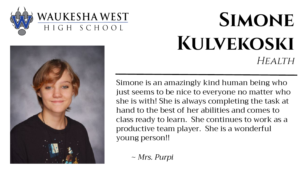



#### **Simone Kulvekoski HEALTH**

Simone is an amazingly kind human being who just seems to be nice to everyone no matter who she is with! She is always completing the task at hand to the best of her abilities and comes to class ready to learn. She continues to work as a productive team player. She is a wonderful young person!!

~ *Mrs. Purpi*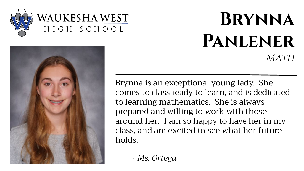



#### **Brynna Panlener MATH**

Brynna is an exceptional young lady. She comes to class ready to learn, and is dedicated to learning mathematics. She is always prepared and willing to work with those around her. I am so happy to have her in my class, and am excited to see what her future holds.

~ *Ms. Ortega*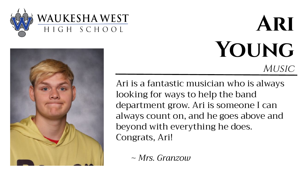



#### **Ari Young MUSIC**

Ari is a fantastic musician who is always looking for ways to help the band department grow. Ari is someone I can always count on, and he goes above and beyond with everything he does. Congrats, Ari!

~ *Mrs. Granzow*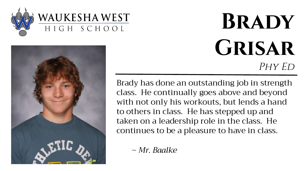



## **Brady Grisar** PHY ED

Brady has done an outstanding job in strength class. He continually goes above and beyond with not only his workouts, but lends a hand to others in class. He has stepped up and taken on a leadership role in the class. He continues to be a pleasure to have in class.

~ *Mr. Baalke*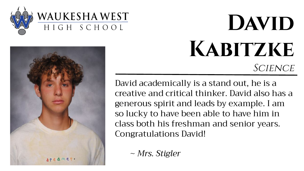



#### **David Kabitzke SCIENCE**

David academically is a stand out, he is a creative and critical thinker. David also has a generous spirit and leads by example. I am so lucky to have been able to have him in class both his freshman and senior years. Congratulations David!

~ *Mrs. Stigler*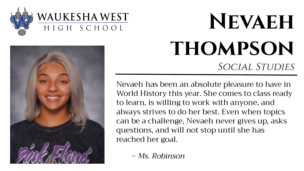



## **Nevaeh thompson** SOCIAL STUDIES

Nevaeh has been an absolute pleasure to have in World History this year. She comes to class ready to learn, is willing to work with anyone, and always strives to do her best. Even when topics can be a challenge, Nevaeh never gives up, asks questions, and will not stop until she has reached her goal.

~ *Ms. Robinson*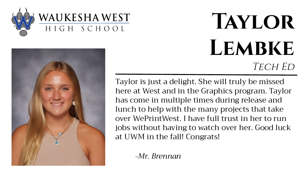



## **Taylor Lembke** TECH<sub>ED</sub>

Taylor is just a delight. She will truly be missed here at West and in the Graphics program. Taylor has come in multiple times during release and lunch to help with the many projects that take over WePrintWest. I have full trust in her to run jobs without having to watch over her. Good luck at UWM in the fall! Congrats!

 *~Mr. Brennan*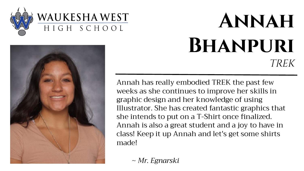



#### **ANNAH Bhanpuri** TREK

Annah has really embodied TREK the past few weeks as she continues to improve her skills in graphic design and her knowledge of using Illustrator. She has created fantastic graphics that she intends to put on a T-Shirt once finalized. Annah is also a great student and a joy to have in class! Keep it up Annah and let's get some shirts made!

~ *Mr. Egnarski*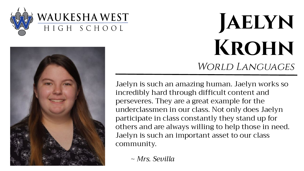



#### **Jaelyn Krohn**  WORLD LANGUAGES

Jaelyn is such an amazing human. Jaelyn works so incredibly hard through difficult content and perseveres. They are a great example for the underclassmen in our class. Not only does Jaelyn participate in class constantly they stand up for others and are always willing to help those in need. Jaelyn is such an important asset to our class community.

~ *Mrs. Sevilla*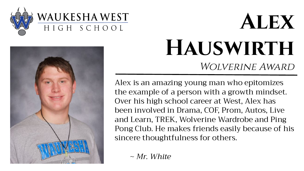



#### **Alex Hauswirth** Wolverine Award

Alex is an amazing young man who epitomizes the example of a person with a growth mindset. Over his high school career at West, Alex has been involved in Drama, COF, Prom, Autos, Live and Learn, TREK, Wolverine Wardrobe and Ping Pong Club. He makes friends easily because of his sincere thoughtfulness for others.

~ *Mr. White*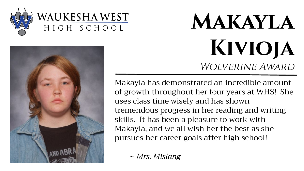



## **Makayla Kivioja** WOLVERINE AWARD

Makayla has demonstrated an incredible amount of growth throughout her four years at WHS! She uses class time wisely and has shown tremendous progress in her reading and writing skills. It has been a pleasure to work with Makayla, and we all wish her the best as she pursues her career goals after high school!

~ *Mrs. Mislang*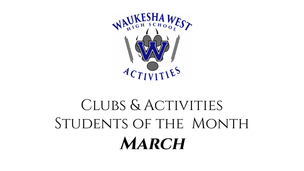

#### CLUBS & ACTIVITIES STUDENTS OF THE MONTH **March**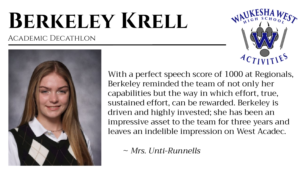# **Berkeley Krell**

#### Academic Decathlon





With a perfect speech score of 1000 at Regionals, Berkeley reminded the team of not only her capabilities but the way in which effort, true, sustained effort, can be rewarded. Berkeley is driven and highly invested; she has been an impressive asset to the team for three years and leaves an indelible impression on West Acadec.

~ *Mrs. Unti-Runnells*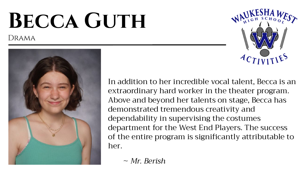# **BECCA GUTH**

Drama



In addition to her incredible vocal talent, Becca is an extraordinary hard worker in the theater program. Above and beyond her talents on stage, Becca has demonstrated tremendous creativity and dependability in supervising the costumes department for the West End Players. The success of the entire program is significantly attributable to her.

~ *Mr. Berish*

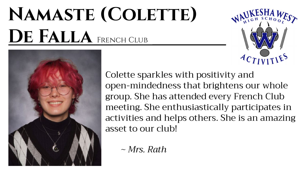# **Namaste (Colette)**  DE FALLA FRENCH CLUB





Colette sparkles with positivity and open-mindedness that brightens our whole group. She has attended every French Club meeting. She enthusiastically participates in activities and helps others. She is an amazing asset to our club!

*~ Mrs. Rath*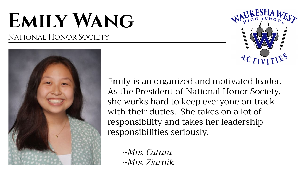# **Emily Wang**

#### National Honor Society



Emily is an organized and motivated leader. As the President of National Honor Society, she works hard to keep everyone on track with their duties. She takes on a lot of responsibility and takes her leadership responsibilities seriously.

*~Mrs. Catura ~Mrs. Ziarnik*